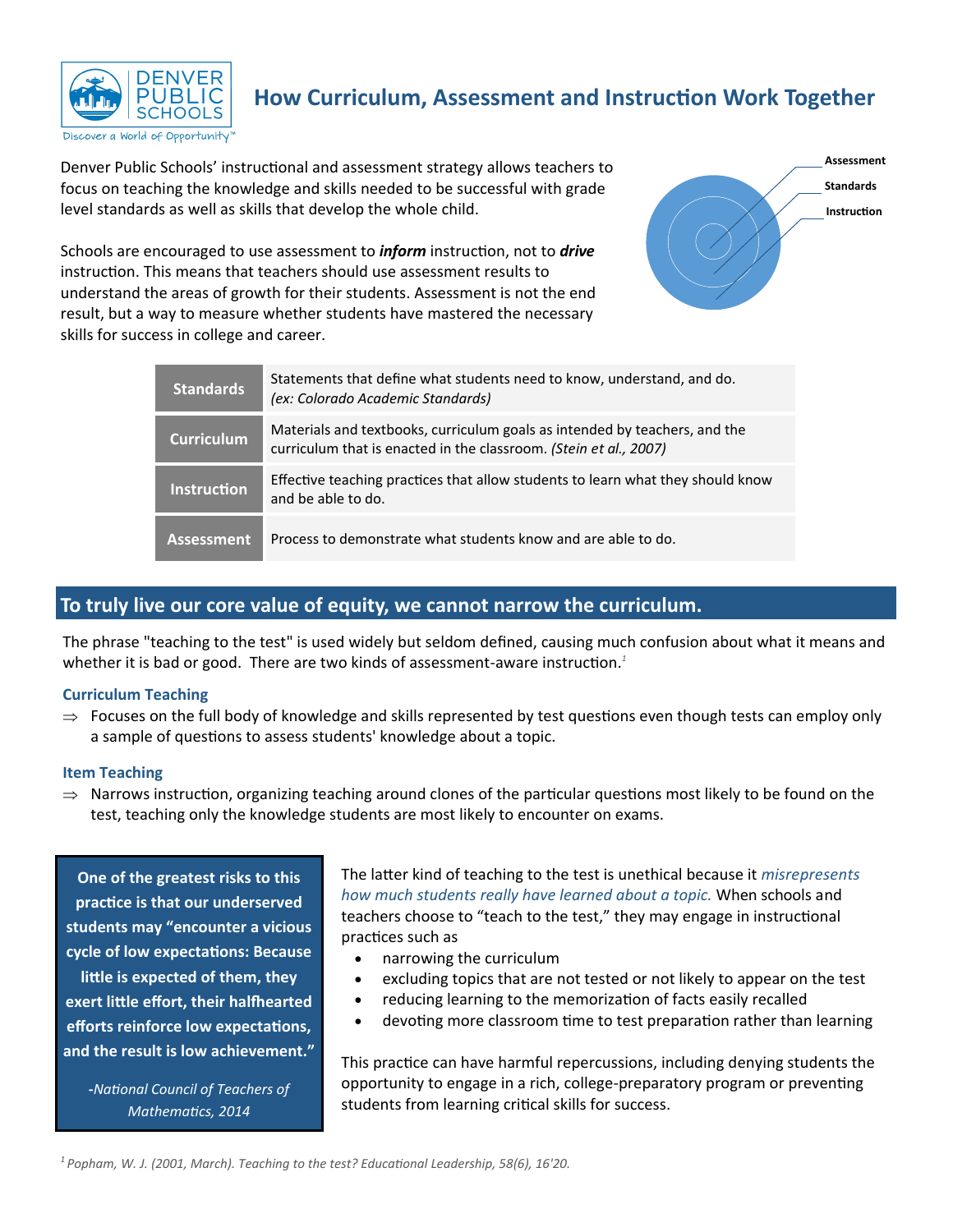

## **How Curriculum, Assessment and Instruction Work Together**

Denver Public Schools' instructional and assessment strategy allows teachers to focus on teaching the knowledge and skills needed to be successful with grade level standards as well as skills that develop the whole child.

Schools are encouraged to use assessment to *inform* instruction, not to *drive* instruction. This means that teachers should use assessment results to understand the areas of growth for their students. Assessment is not the end result, but a way to measure whether students have mastered the necessary skills for success in college and career.



| Standards          | Statements that define what students need to know, understand, and do.<br>(ex: Colorado Academic Standards)                                     |
|--------------------|-------------------------------------------------------------------------------------------------------------------------------------------------|
| Curriculum         | Materials and textbooks, curriculum goals as intended by teachers, and the<br>curriculum that is enacted in the classroom. (Stein et al., 2007) |
| <b>Instruction</b> | Effective teaching practices that allow students to learn what they should know<br>and be able to do.                                           |
| Assessment         | Process to demonstrate what students know and are able to do.                                                                                   |

### **To truly live our core value of equity, we cannot narrow the curriculum.**

The phrase "teaching to the test" is used widely but seldom defined, causing much confusion about what it means and whether it is bad or good. There are two kinds of assessment-aware instruction.<sup>1</sup>

### **Curriculum Teaching**

 $\Rightarrow$  Focuses on the full body of knowledge and skills represented by test questions even though tests can employ only a sample of questions to assess students' knowledge about a topic.

#### **Item Teaching**

 $\Rightarrow$  Narrows instruction, organizing teaching around clones of the particular questions most likely to be found on the test, teaching only the knowledge students are most likely to encounter on exams.

**One of the greatest risks to this practice is that our underserved students may "encounter a vicious cycle of low expectations: Because little is expected of them, they exert little effort, their halfhearted efforts reinforce low expectations, and the result is low achievement."**

**-***National Council of Teachers of Mathematics, 2014*

The latter kind of teaching to the test is unethical because it *misrepresents how much students really have learned about a topic.* When schools and teachers choose to "teach to the test," they may engage in instructional practices such as

- narrowing the curriculum
- excluding topics that are not tested or not likely to appear on the test
- reducing learning to the memorization of facts easily recalled
- devoting more classroom time to test preparation rather than learning

This practice can have harmful repercussions, including denying students the opportunity to engage in a rich, college-preparatory program or preventing students from learning critical skills for success.

*<sup>1</sup>Popham, W. J. (2001, March). Teaching to the test? Educational Leadership, 58(6), 16'20.*